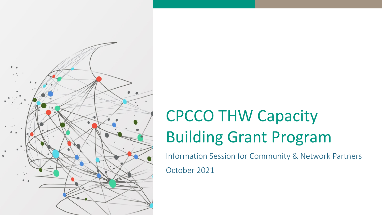

## CPCCO THW Capacity Building Grant Program

Information Session for Community & Network Partners

October 2021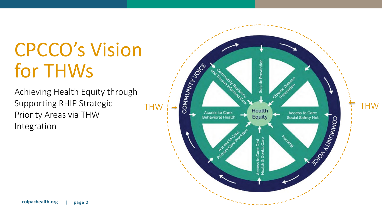## CPCCO's Vision for THWs

Achieving Health Equity through Supporting RHIP Strategic Priority Areas via THW Integration

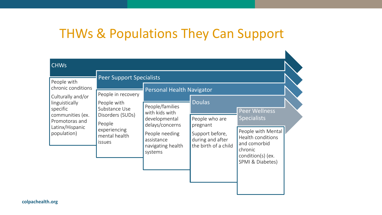### THWs & Populations They Can Support

| <b>CHWs</b>                                                                                                                                                                                     |                                                                                                                             |                                                                                                                                                                           |                                                                                                            |                                                                                                                                                           |
|-------------------------------------------------------------------------------------------------------------------------------------------------------------------------------------------------|-----------------------------------------------------------------------------------------------------------------------------|---------------------------------------------------------------------------------------------------------------------------------------------------------------------------|------------------------------------------------------------------------------------------------------------|-----------------------------------------------------------------------------------------------------------------------------------------------------------|
| People with<br>chronic conditions<br>Culturally and/or<br>linguistically<br>People with<br>specific<br>communities (ex.<br>Promotoras and<br>People<br>Latinx/Hispanic<br>population)<br>issues | <b>Peer Support Specialists</b><br>People in recovery<br>Substance Use<br>Disorders (SUDs)<br>experiencing<br>mental health | <b>Personal Health Navigator</b><br>People/families<br>with kids with<br>developmental<br>delays/concerns<br>People needing<br>assistance<br>navigating health<br>systems | <b>Doulas</b><br>People who are<br>pregnant<br>Support before,<br>during and after<br>the birth of a child | <b>Peer Wellness</b><br><b>Specialists</b><br>People with Mental<br>Health conditions<br>and comorbid<br>chronic<br>condition(s) (ex.<br>SPMI & Diabetes) |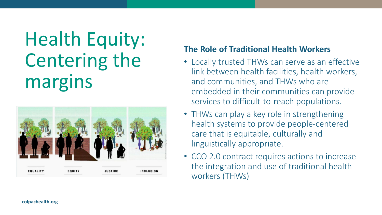## Health Equity: Centering the margins



#### **The Role of Traditional Health Workers**

- Locally trusted THWs can serve as an effective link between health facilities, health workers, and communities, and THWs who are embedded in their communities can provide services to difficult-to-reach populations.
- THWs can play a key role in strengthening health systems to provide people-centered care that is equitable, culturally and linguistically appropriate.
- CCO 2.0 contract requires actions to increase the integration and use of traditional health workers (THWs)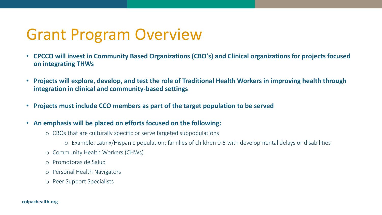### Grant Program Overview

- **CPCCO will invest in Community Based Organizations (CBO's) and Clinical organizations for projects focused on integrating THWs**
- **Projects will explore, develop, and test the role of Traditional Health Workers in improving health through integration in clinical and community-based settings**
- **Projects must include CCO members as part of the target population to be served**
- **An emphasis will be placed on efforts focused on the following:**
	- o CBOs that are culturally specific or serve targeted subpopulations
		- o Example: Latinx/Hispanic population; families of children 0-5 with developmental delays or disabilities
	- o Community Health Workers (CHWs)
	- o Promotoras de Salud
	- o Personal Health Navigators
	- o Peer Support Specialists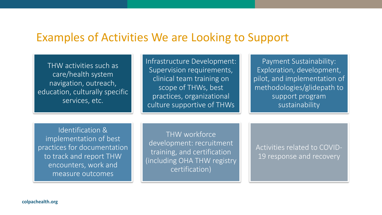#### Examples of Activities We are Looking to Support

THW activities such as care/health system navigation, outreach, education, culturally specific services, etc.

Infrastructure Development: Supervision requirements, clinical team training on scope of THWs, best practices, organizational culture supportive of THWs

Payment Sustainability: Exploration, development, pilot, and implementation of methodologies/glidepath to support program sustainability

Identification & implementation of best practices for documentation to track and report THW encounters, work and measure outcomes

THW workforce development: recruitment training, and certification (including OHA THW registry certification)

Activities related to COVID-19 response and recovery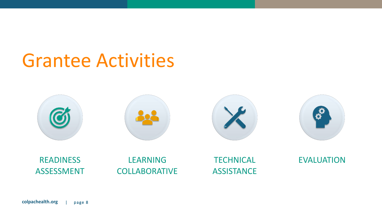### Grantee Activities

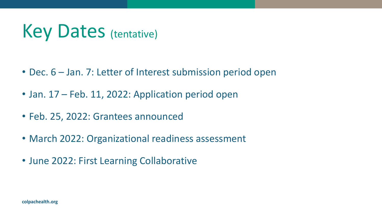## Key Dates (tentative)

- Dec. 6 Jan. 7: Letter of Interest submission period open
- Jan. 17 Feb. 11, 2022: Application period open
- Feb. 25, 2022: Grantees announced
- March 2022: Organizational readiness assessment
- June 2022: First Learning Collaborative